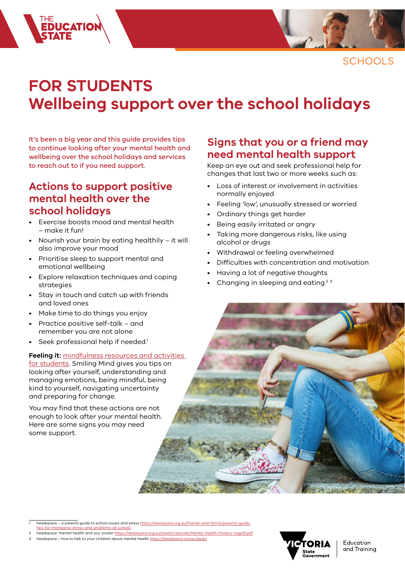

**SCHOOLS** 

# **FOR STUDENTS Wellbeing support over the school holidays**

It's been a big year and this guide provides tips to continue looking after your mental health and wellbeing over the school holidays and services to reach out to if you need support.

### **Actions to support positive mental health over the school holidays**

THE<br>**Educatio)**<br>S**TATE** 

- Exercise boosts mood and mental health – make it fun!
- Nourish your brain by eating healthily it will also improve your mood
- Prioritise sleep to support mental and emotional wellbeing
- Explore relaxation techniques and coping strategies
- Stay in touch and catch up with friends and loved ones
- Make time to do things you enjoy
- Practice positive self-talk and remember you are not alone
- Seek professional help if needed.<sup>1</sup>

#### **Feeling it:** [mindfulness resources and activities](https://www.coronavirus.vic.gov.au/students)

for [students](https://www.coronavirus.vic.gov.au/students). Smiling Mind gives you tips on looking after yourself, understanding and managing emotions, being mindful, being kind to yourself, navigating uncertainty and preparing for change.

You may find that these actions are not enough to look after your mental health. Here are some signs you may need some support.

### **Signs that you or a friend may need mental health support**

Keep an eye out and seek professional help for changes that last two or more weeks such as:

- Loss of interest or involvement in activities normally enjoyed
- Feeling 'low', unusually stressed or worried
- Ordinary things get harder
- Being easily irritated or angry
- Taking more dangerous risks, like using alcohol or drugs
- Withdrawal or feeling overwhelmed
- Difficulties with concentration and motivation
- Having a lot of negative thoughts
- Changing in sleeping and eating.2 <sup>3</sup>

- 1 headspace a parents guide to school issues and stress [https://headspace.org.au/friends-and-family/parents-guide](https://headspace.org.au/friends-and-family/parents-guide-tips-for-managing-stress-and-problems-at-school/)[tips-for-managing-stress-and-problems-at-school/](https://headspace.org.au/friends-and-family/parents-guide-tips-for-managing-stress-and-problems-at-school/)
- headspace 'mental health and you' poster https://headspace.org.au/assets/Uploads/Mental-He
- 3 headspace how to talk to your children about mental health<https://headspace.org.au/dads/>